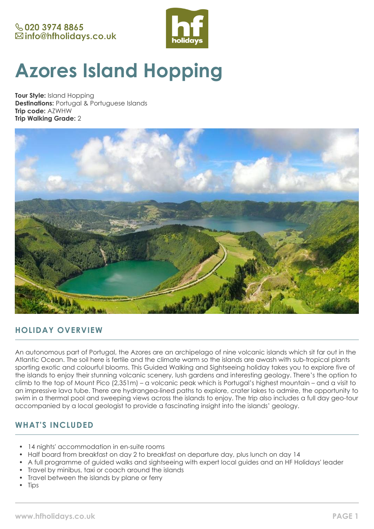

# **Azores Island Hopping**

**Tour Style:** Island Hopping **Destinations:** Portugal & Portuguese Islands **Trip code:** AZWHW **Trip Walking Grade:** 2



# **HOLIDAY OVERVIEW**

An autonomous part of Portugal, the Azores are an archipelago of nine volcanic islands which sit far out in the Atlantic Ocean. The soil here is fertile and the climate warm so the islands are awash with sub-tropical plants sporting exotic and colourful blooms. This Guided Walking and Sightseeing holiday takes you to explore five of the islands to enjoy their stunning volcanic scenery, lush gardens and interesting geology. There's the option to climb to the top of Mount Pico (2,351m) – a volcanic peak which is Portugal's highest mountain – and a visit to an impressive lava tube. There are hydrangea-lined paths to explore, crater lakes to admire, the opportunity to swim in a thermal pool and sweeping views across the islands to enjoy. The trip also includes a full day geo-tour accompanied by a local geologist to provide a fascinating insight into the islands' geology.

## **WHAT'S INCLUDED**

- 14 nights' accommodation in en-suite rooms
- Half board from breakfast on day 2 to breakfast on departure day, plus lunch on day 14
- A full programme of guided walks and sightseeing with expert local guides and an HF Holidays' leader
- Travel by minibus, taxi or coach around the islands
- Travel between the islands by plane or ferry
- **Tips**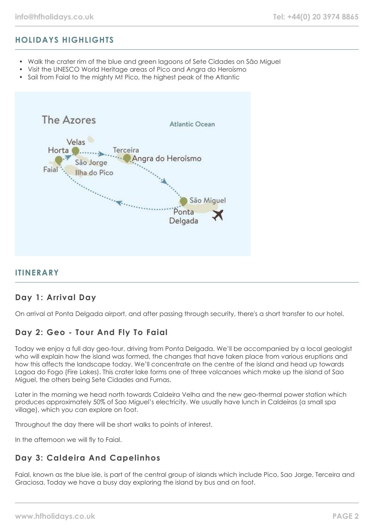# **HOLIDAYS HIGHLIGHTS**

- Walk the crater rim of the blue and green lagoons of Sete Cidades on São Miguel
- Visit the UNESCO World Heritage areas of Pico and Angra do Heroísmo
- Sail from Faial to the mighty Mt Pico, the highest peak of the Atlantic



## **ITINERARY**

## **Day 1: Arrival Day**

On arrival at Ponta Delgada airport, and after passing through security, there's a short transfer to our hotel.

## **Day 2: Geo - Tour And Fly To Faial**

Today we enjoy a full day geo-tour, driving from Ponta Delgada. We'll be accompanied by a local geologist who will explain how the island was formed, the changes that have taken place from various eruptions and how this affects the landscape today. We'll concentrate on the centre of the island and head up towards Lagoa do Fogo (Fire Lakes). This crater lake forms one of three volcanoes which make up the island of Sao Miguel, the others being Sete Cidades and Furnas.

Later in the morning we head north towards Caldeira Velha and the new geo-thermal power station which produces approximately 50% of Sao Miguel's electricity. We usually have lunch in Caldeiras (a small spa village), which you can explore on foot.

Throughout the day there will be short walks to points of interest.

In the afternoon we will fly to Faial.

# **Day 3: Caldeira And Capelinhos**

Faial, known as the blue isle, is part of the central group of islands which include Pico, Sao Jorge, Terceira and Graciosa. Today we have a busy day exploring the island by bus and on foot.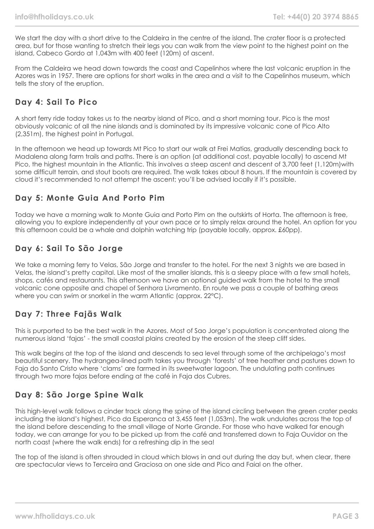We start the day with a short drive to the Caldeira in the centre of the island. The crater floor is a protected area, but for those wanting to stretch their legs you can walk from the view point to the highest point on the island, Cabeco Gordo at 1,043m with 400 feet (120m) of ascent.

From the Caldeira we head down towards the coast and Capelinhos where the last volcanic eruption in the Azores was in 1957. There are options for short walks in the area and a visit to the Capelinhos museum, which tells the story of the eruption.

## **Day 4: Sail To Pico**

A short ferry ride today takes us to the nearby island of Pico, and a short morning tour. Pico is the most obviously volcanic of all the nine islands and is dominated by its impressive volcanic cone of Pico Alto (2,351m), the highest point in Portugal.

In the afternoon we head up towards Mt Pico to start our walk at Frei Matias, gradually descending back to Madalena along farm trails and paths. There is an option (at additional cost, payable locally) to ascend Mt Pico, the highest mountain in the Atlantic. This involves a steep ascent and descent of 3,700 feet (1,120m)with some difficult terrain, and stout boots are required. The walk takes about 8 hours. If the mountain is covered by cloud it's recommended to not attempt the ascent; you'll be advised locally if it's possible.

## **Day 5: Monte Guia And Porto Pim**

Today we have a morning walk to Monte Guia and Porto Pim on the outskirts of Horta. The afternoon is free, allowing you to explore independently at your own pace or to simply relax around the hotel. An option for you this afternoon could be a whale and dolphin watching trip (payable locally, approx. £60pp).

## **Day 6: Sail To São Jorge**

We take a morning ferry to Velas, São Jorge and transfer to the hotel. For the next 3 nights we are based in Velas, the island's pretty capital. Like most of the smaller islands, this is a sleepy place with a few small hotels, shops, cafés and restaurants. This afternoon we have an optional guided walk from the hotel to the small volcanic cone opposite and chapel of Senhora Livramento. En route we pass a couple of bathing areas where you can swim or snorkel in the warm Atlantic (approx. 22°C).

## **Day 7: Three Fajãs Walk**

This is purported to be the best walk in the Azores. Most of Sao Jorge's population is concentrated along the numerous island 'fajas' - the small coastal plains created by the erosion of the steep cliff sides.

This walk begins at the top of the island and descends to sea level through some of the archipelago's most beautiful scenery. The hydrangea-lined path takes you through 'forests' of tree heather and pastures down to Faja do Santo Cristo where 'clams' are farmed in its sweetwater lagoon. The undulating path continues through two more fajas before ending at the café in Faja dos Cubres.

## **Day 8: São Jorge Spine Walk**

This high-level walk follows a cinder track along the spine of the island circling between the green crater peaks including the island's highest, Pico da Esperanca at 3,455 feet (1,053m). The walk undulates across the top of the island before descending to the small village of Norte Grande. For those who have walked far enough today, we can arrange for you to be picked up from the café and transferred down to Faja Ouvidor on the north coast (where the walk ends) for a refreshing dip in the sea!

The top of the island is often shrouded in cloud which blows in and out during the day but, when clear, there are spectacular views to Terceira and Graciosa on one side and Pico and Faial on the other.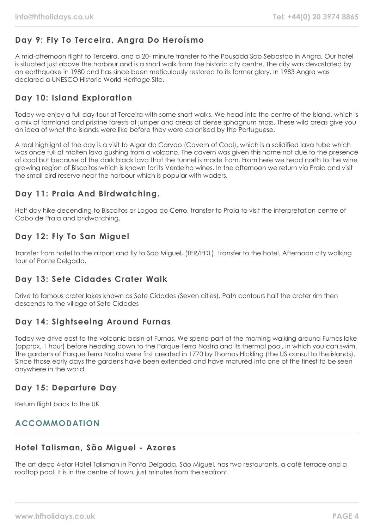# **Day 9: Fly To Terceira, Angra Do Heroísmo**

A mid-afternoon flight to Terceira, and a 20- minute transfer to the Pousada Sao Sebastao in Angra. Our hotel is situated just above the harbour and is a short walk from the historic city centre. The city was devastated by an earthquake in 1980 and has since been meticulously restored to its former glory. In 1983 Angra was declared a UNESCO Historic World Heritage Site.

# **Day 10: Island Exploration**

Today we enjoy a full day tour of Terceira with some short walks. We head into the centre of the island, which is a mix of farmland and pristine forests of juniper and areas of dense sphagnum moss. These wild areas give you an idea of what the islands were like before they were colonised by the Portuguese.

A real highlight of the day is a visit to Algar do Carvao (Cavern of Coal), which is a solidified lava tube which was once full of molten lava gushing from a volcano. The cavern was given this name not due to the presence of coal but because of the dark black lava that the tunnel is made from. From here we head north to the wine growing region of Biscoitos which is known for its Verdelho wines. In the afternoon we return via Praia and visit the small bird reserve near the harbour which is popular with waders.

# **Day 11: Praia And Birdwatching.**

Half day hike decending to Biscoitos or Lagoa do Cerro, transfer to Praia to visit the interpretation centre of Cabo de Praia and bridwatching.

## **Day 12: Fly To San Miguel**

Transfer from hotel to the airport and fly to Sao Miguel, (TER/PDL). Transfer to the hotel. Afternoon city walking tour of Ponte Delgada.

# **Day 13: Sete Cidades Crater Walk**

Drive to famous crater lakes known as Sete Cidades (Seven cities). Path contours half the crater rim then descends to the village of Sete Cidades

## **Day 14: Sightseeing Around Furnas**

Today we drive east to the volcanic basin of Furnas. We spend part of the morning walking around Furnas lake (approx. 1 hour) before heading down to the Parque Terra Nostra and its thermal pool, in which you can swim. The gardens of Parque Terra Nostra were first created in 1770 by Thomas Hickling (the US consul to the islands). Since those early days the gardens have been extended and have matured into one of the finest to be seen anywhere in the world.

## **Day 15: Departure Day**

Return flight back to the UK

## **ACCOMMODATION**

# **Hotel Talisman, São Miguel - Azores**

The art deco 4-star Hotel Talisman in Ponta Delgada, São Miguel, has two restaurants, a café terrace and a rooftop pool. It is in the centre of town, just minutes from the seafront.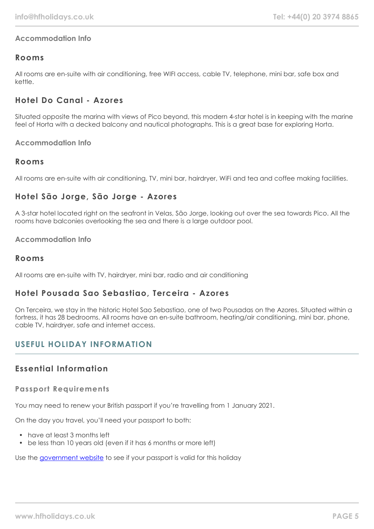## **Accommodation Info**

## **Rooms**

All rooms are en-suite with air conditioning, free WIFI access, cable TV, telephone, mini bar, safe box and kettle.

## **Hotel Do Canal - Azores**

Situated opposite the marina with views of Pico beyond, this modern 4-star hotel is in keeping with the marine feel of Horta with a decked balcony and nautical photographs. This is a great base for exploring Horta.

**Accommodation Info**

## **Rooms**

All rooms are en-suite with air conditioning, TV, mini bar, hairdryer, WiFi and tea and coffee making facilities.

## **Hotel São Jorge, São Jorge - Azores**

A 3-star hotel located right on the seafront in Velas, São Jorge, looking out over the sea towards Pico. All the rooms have balconies overlooking the sea and there is a large outdoor pool.

#### **Accommodation Info**

#### **Rooms**

All rooms are en-suite with TV, hairdryer, mini bar, radio and air conditioning

## **Hotel Pousada Sao Sebastiao, Terceira - Azores**

On Terceira, we stay in the historic Hotel Sao Sebastiao, one of two Pousadas on the Azores. Situated within a fortress, it has 28 bedrooms. All rooms have an en-suite bathroom, heating/air conditioning, mini bar, phone, cable TV, hairdryer, safe and internet access.

# **USEFUL HOLIDAY INFORMATION**

## **Essential Information**

#### **Passport Requirements**

You may need to renew your British passport if you're travelling from 1 January 2021.

On the day you travel, you'll need your passport to both:

- have at least 3 months left
- be less than 10 years old (even if it has 6 months or more left)

Use the [government website](https://www.gov.uk/check-a-passport-travel-europe-1-january-2021) to see if your passport is valid for this holiday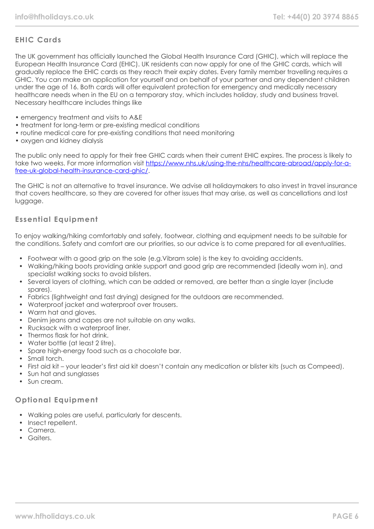## **EHIC Cards**

The UK government has officially launched the Global Health Insurance Card (GHIC), which will replace the European Health Insurance Card (EHIC). UK residents can now apply for one of the GHIC cards, which will gradually replace the EHIC cards as they reach their expiry dates. Every family member travelling requires a GHIC. You can make an application for yourself and on behalf of your partner and any dependent children under the age of 16. Both cards will offer equivalent protection for emergency and medically necessary healthcare needs when in the EU on a temporary stay, which includes holiday, study and business travel. Necessary healthcare includes things like

- emergency treatment and visits to A&E
- treatment for long-term or pre-existing medical conditions
- routine medical care for pre-existing conditions that need monitoring
- oxygen and kidney dialysis

The public only need to apply for their free GHIC cards when their current EHIC expires. The process is likely to take two weeks. For more information visit [https://www.nhs.uk/using-the-nhs/healthcare-abroad/apply-for-a](https://www.nhs.uk/using-the-nhs/healthcare-abroad/apply-for-a-free-uk-global-health-insurance-card-ghic/)[free-uk-global-health-insurance-card-ghic/.](https://www.nhs.uk/using-the-nhs/healthcare-abroad/apply-for-a-free-uk-global-health-insurance-card-ghic/)

The GHIC is not an alternative to travel insurance. We advise all holidaymakers to also invest in travel insurance that covers healthcare, so they are covered for other issues that may arise, as well as cancellations and lost luggage.

#### **Essential Equipment**

To enjoy walking/hiking comfortably and safely, footwear, clothing and equipment needs to be suitable for the conditions. Safety and comfort are our priorities, so our advice is to come prepared for all eventualities.

- Footwear with a good grip on the sole (e.g.Vibram sole) is the key to avoiding accidents.
- Walking/hiking boots providing ankle support and good grip are recommended (ideally worn in), and specialist walking socks to avoid blisters.
- Several layers of clothing, which can be added or removed, are better than a single layer (include spares).
- Fabrics (lightweight and fast drying) designed for the outdoors are recommended.
- Waterproof jacket and waterproof over trousers.
- Warm hat and gloves.
- Denim jeans and capes are not suitable on any walks.
- Rucksack with a waterproof liner.
- Thermos flask for hot drink
- Water bottle (at least 2 litre).
- Spare high-energy food such as a chocolate bar.
- Small torch.
- First aid kit your leader's first aid kit doesn't contain any medication or blister kits (such as Compeed).
- Sun hat and sunglasses
- Sun cream

#### **Optional Equipment**

- Walking poles are useful, particularly for descents.
- Insect repellent.
- Camera.
- Gaiters.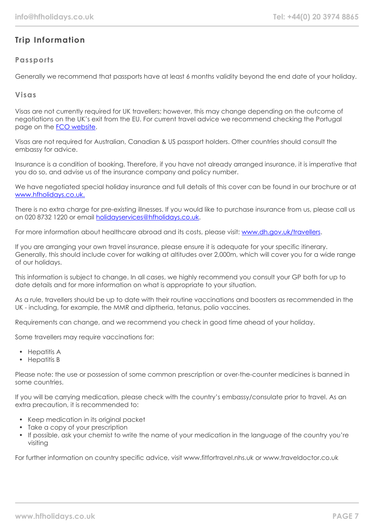# **Trip Information**

## **Passports**

Generally we recommend that passports have at least 6 months validity beyond the end date of your holiday.

#### **Visas**

Visas are not currently required for UK travellers; however, this may change depending on the outcome of negotiations on the UK's exit from the EU. For current travel advice we recommend checking the Portugal page on the [FCO website](https://www.gov.uk/foreign-travel-advice/portugal/entry-requirements).

Visas are not required for Australian, Canadian & US passport holders. Other countries should consult the embassy for advice.

Insurance is a condition of booking. Therefore, if you have not already arranged insurance, it is imperative that you do so, and advise us of the insurance company and policy number.

We have negotiated special holiday insurance and full details of this cover can be found in our brochure or at [www.hfholidays.co.uk.](http://www.hfholidays.co.uk./)

There is no extra charge for pre-existing illnesses. If you would like to purchase insurance from us, please call us on 020 8732 1220 or email [holidayservices@hfholidays.co.uk.](mailto:holidayservices@hfholidays.co.uk)

For more information about healthcare abroad and its costs, please visit: [www.dh.gov.uk/travellers](http://www.dh.gov.uk/travellers).

If you are arranging your own travel insurance, please ensure it is adequate for your specific itinerary. Generally, this should include cover for walking at altitudes over 2,000m, which will cover you for a wide range of our holidays.

This information is subject to change. In all cases, we highly recommend you consult your GP both for up to date details and for more information on what is appropriate to your situation.

As a rule, travellers should be up to date with their routine vaccinations and boosters as recommended in the UK - including, for example, the MMR and diptheria, tetanus, polio vaccines.

Requirements can change, and we recommend you check in good time ahead of your holiday.

Some travellers may require vaccinations for:

- Hepatitis A
- Hepatitis B

Please note: the use or possession of some common prescription or over-the-counter medicines is banned in some countries.

If you will be carrying medication, please check with the country's embassy/consulate prior to travel. As an extra precaution, it is recommended to:

- Keep medication in its original packet
- Take a copy of your prescription
- If possible, ask your chemist to write the name of your medication in the language of the country you're visiting

For further information on country specific advice, visit www.fitfortravel.nhs.uk or www.traveldoctor.co.uk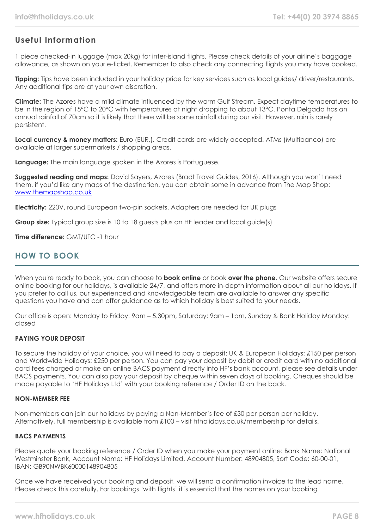## **Useful Information**

1 piece checked-in luggage (max 20kg) for inter-island flights. Please check details of your airline's baggage allowance, as shown on your e-ticket. Remember to also check any connecting flights you may have booked.

**Tipping:** Tips have been included in your holiday price for key services such as local guides/ driver/restaurants. Any additional tips are at your own discretion.

**Climate:** The Azores have a mild climate influenced by the warm Gulf Stream. Expect daytime temperatures to be in the region of 15°C to 20°C with temperatures at night dropping to about 13°C. Ponta Delgada has an annual rainfall of 70cm so it is likely that there will be some rainfall during our visit. However, rain is rarely persistent.

**Local currency & money matters:** Euro (EUR,). Credit cards are widely accepted. ATMs (Multibanco) are available at larger supermarkets / shopping areas.

**Language:** The main language spoken in the Azores is Portuguese.

**Suggested reading and maps:** David Sayers, Azores (Bradt Travel Guides, 2016). Although you won't need them, if you'd like any maps of the destination, you can obtain some in advance from The Map Shop: [www.themapshop.co.uk](http://www.themapshop.co.uk/)

**Electricity:** 220V, round European two-pin sockets. Adapters are needed for UK plugs

**Group size:** Typical group size is 10 to 18 guests plus an HF leader and local guide(s)

**Time difference:** GMT/UTC -1 hour

## **HOW TO BOOK**

When you're ready to book, you can choose to **book online** or book **over the phone**. Our website offers secure online booking for our holidays, is available 24/7, and offers more in-depth information about all our holidays. If you prefer to call us, our experienced and knowledgeable team are available to answer any specific questions you have and can offer guidance as to which holiday is best suited to your needs.

Our office is open: Monday to Friday: 9am – 5.30pm, Saturday: 9am – 1pm, Sunday & Bank Holiday Monday: closed

#### **PAYING YOUR DEPOSIT**

To secure the holiday of your choice, you will need to pay a deposit: UK & European Holidays: £150 per person and Worldwide Holidays: £250 per person. You can pay your deposit by debit or credit card with no additional card fees charged or make an online BACS payment directly into HF's bank account, please see details under BACS payments. You can also pay your deposit by cheque within seven days of booking. Cheques should be made payable to 'HF Holidays Ltd' with your booking reference / Order ID on the back.

#### **NON-MEMBER FEE**

Non-members can join our holidays by paying a Non-Member's fee of £30 per person per holiday. Alternatively, full membership is available from £100 – visit hfholidays.co.uk/membership for details.

#### **BACS PAYMENTS**

Please quote your booking reference / Order ID when you make your payment online: Bank Name: National Westminster Bank, Account Name: HF Holidays Limited, Account Number: 48904805, Sort Code: 60-00-01, IBAN: GB90NWBK60000148904805

Once we have received your booking and deposit, we will send a confirmation invoice to the lead name. Please check this carefully. For bookings 'with flights' it is essential that the names on your booking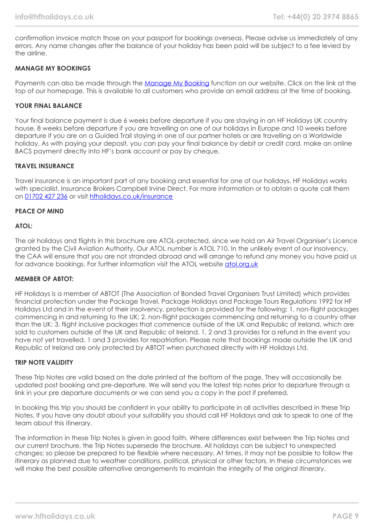confirmation invoice match those on your passport for bookings overseas. Please advise us immediately of any errors. Any name changes after the balance of your holiday has been paid will be subject to a fee levied by the airline.

#### **MANAGE MY BOOKINGS**

Payments can also be made through the [Manage My Booking](https://www.hfholidays.co.uk/about-us/bookings/my-booking) function on our website. Click on the link at the top of our homepage. This is available to all customers who provide an email address at the time of booking.

#### **YOUR FINAL BALANCE**

Your final balance payment is due 6 weeks before departure if you are staying in an HF Holidays UK country house, 8 weeks before departure if you are travelling on one of our holidays in Europe and 10 weeks before departure if you are on a Guided Trail staying in one of our partner hotels or are travelling on a Worldwide holiday. As with paying your deposit, you can pay your final balance by debit or credit card, make an online BACS payment directly into HF's bank account or pay by cheque.

#### **TRAVEL INSURANCE**

Travel insurance is an important part of any booking and essential for one of our holidays. HF Holidays works with specialist. Insurance Brokers Campbell Irvine Direct. For more information or to obtain a quote call them on [01702 427 236](tel:01702427236) or visit [hfholidays.co.uk/insurance](https://www.hfholidays.co.uk/about-us/bookings/insurance)

#### **PEACE OF MIND**

#### **ATOL:**

The air holidays and flights in this brochure are ATOL-protected, since we hold an Air Travel Organiser's Licence granted by the Civil Aviation Authority. Our ATOL number is ATOL 710. In the unlikely event of our insolvency, the CAA will ensure that you are not stranded abroad and will arrange to refund any money you have paid us for advance bookings. For further information visit the ATOL website [atol.org.uk](https://www.atol.org/)

#### **MEMBER OF ABTOT:**

HF Holidays is a member of ABTOT (The Association of Bonded Travel Organisers Trust Limited) which provides financial protection under the Package Travel, Package Holidays and Package Tours Regulations 1992 for HF Holidays Ltd and in the event of their insolvency, protection is provided for the following: 1. non-flight packages commencing in and returning to the UK; 2. non-flight packages commencing and returning to a country other than the UK; 3. flight inclusive packages that commence outside of the UK and Republic of Ireland, which are sold to customers outside of the UK and Republic of Ireland. 1, 2 and 3 provides for a refund in the event you have not yet travelled. 1 and 3 provides for repatriation. Please note that bookings made outside the UK and Republic of Ireland are only protected by ABTOT when purchased directly with HF Holidays Ltd.

#### **TRIP NOTE VALIDITY**

These Trip Notes are valid based on the date printed at the bottom of the page. They will occasionally be updated post booking and pre-departure. We will send you the latest trip notes prior to departure through a link in your pre departure documents or we can send you a copy in the post if preferred.

In booking this trip you should be confident in your ability to participate in all activities described in these Trip Notes. If you have any doubt about your suitability you should call HF Holidays and ask to speak to one of the team about this itinerary.

The information in these Trip Notes is given in good faith. Where differences exist between the Trip Notes and our current brochure, the Trip Notes supersede the brochure. All holidays can be subject to unexpected changes; so please be prepared to be flexible where necessary. At times, it may not be possible to follow the itinerary as planned due to weather conditions, political, physical or other factors. In these circumstances we will make the best possible alternative arrangements to maintain the integrity of the original itinerary.